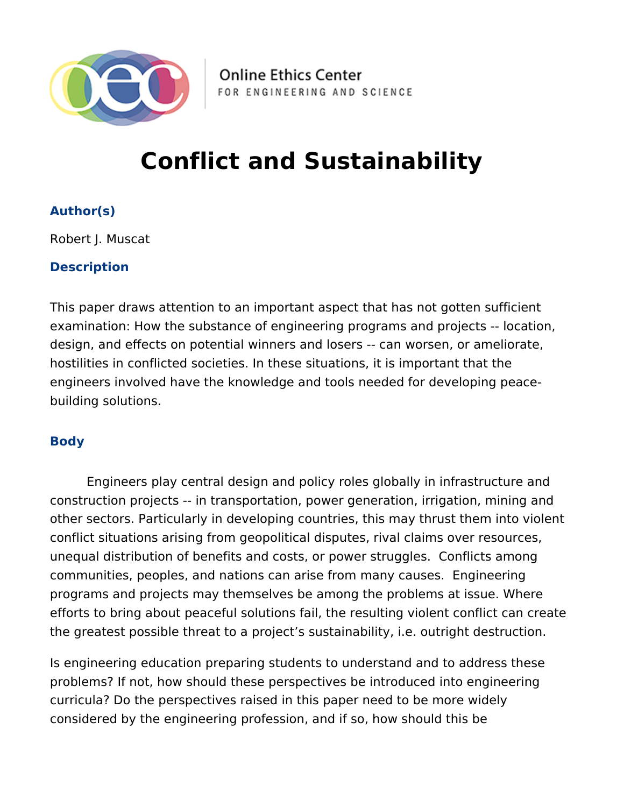

**Online Ethics Center** FOR ENGINEERING AND SCIENCE

## **Conflict and Sustainability**

## **Author(s)**

Robert J. Muscat

## **Description**

This paper draws attention to an important aspect that has not gotten sufficient examination: How the substance of engineering programs and projects -- location, design, and effects on potential winners and losers -- can worsen, or ameliorate, hostilities in conflicted societies. In these situations, it is important that the engineers involved have the knowledge and tools needed for developing peacebuilding solutions.

## **Body**

Engineers play central design and policy roles globally in infrastructure and construction projects -- in transportation, power generation, irrigation, mining and other sectors. Particularly in developing countries, this may thrust them into violent conflict situations arising from geopolitical disputes, rival claims over resources, unequal distribution of benefits and costs, or power struggles. Conflicts among communities, peoples, and nations can arise from many causes. Engineering programs and projects may themselves be among the problems at issue. Where efforts to bring about peaceful solutions fail, the resulting violent conflict can create the greatest possible threat to a project's sustainability, i.e. outright destruction.

Is engineering education preparing students to understand and to address these problems? If not, how should these perspectives be introduced into engineering curricula? Do the perspectives raised in this paper need to be more widely considered by the engineering profession, and if so, how should this be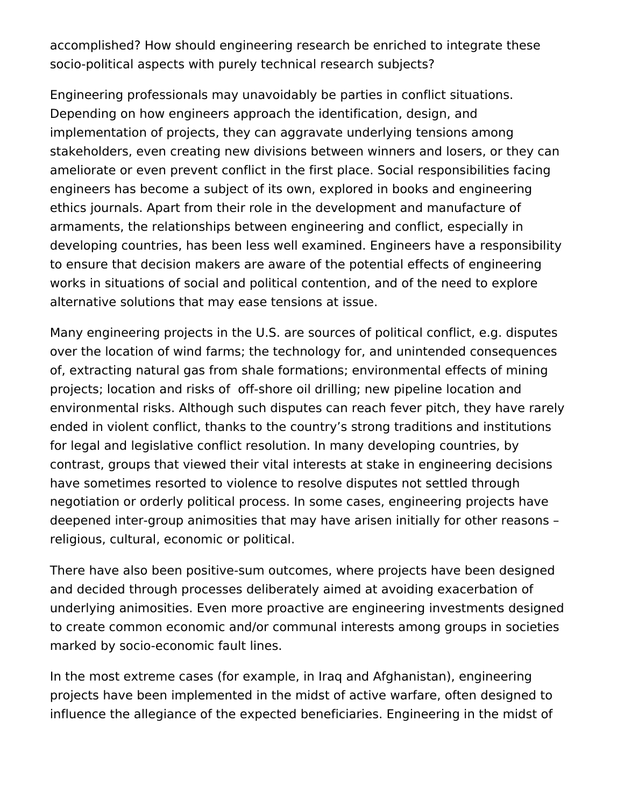accomplished? How should engineering research be enriched to integrate these socio-political aspects with purely technical research subjects?

Engineering professionals may unavoidably be parties in conflict situations. Depending on how engineers approach the identification, design, and implementation of projects, they can aggravate underlying tensions among stakeholders, even creating new divisions between winners and losers, or they can ameliorate or even prevent conflict in the first place. Social responsibilities facing engineers has become a subject of its own, explored in books and engineering ethics journals. Apart from their role in the development and manufacture of armaments, the relationships between engineering and conflict, especially in developing countries, has been less well examined. Engineers have a responsibility to ensure that decision makers are aware of the potential effects of engineering works in situations of social and political contention, and of the need to explore alternative solutions that may ease tensions at issue.

Many engineering projects in the U.S. are sources of political conflict, e.g. disputes over the location of wind farms; the technology for, and unintended consequences of, extracting natural gas from shale formations; environmental effects of mining projects; location and risks of off-shore oil drilling; new pipeline location and environmental risks. Although such disputes can reach fever pitch, they have rarely ended in violent conflict, thanks to the country's strong traditions and institutions for legal and legislative conflict resolution. In many developing countries, by contrast, groups that viewed their vital interests at stake in engineering decisions have sometimes resorted to violence to resolve disputes not settled through negotiation or orderly political process. In some cases, engineering projects have deepened inter-group animosities that may have arisen initially for other reasons – religious, cultural, economic or political.

There have also been positive-sum outcomes, where projects have been designed and decided through processes deliberately aimed at avoiding exacerbation of underlying animosities. Even more proactive are engineering investments designed to create common economic and/or communal interests among groups in societies marked by socio-economic fault lines.

In the most extreme cases (for example, in Iraq and Afghanistan), engineering projects have been implemented in the midst of active warfare, often designed to influence the allegiance of the expected beneficiaries. Engineering in the midst of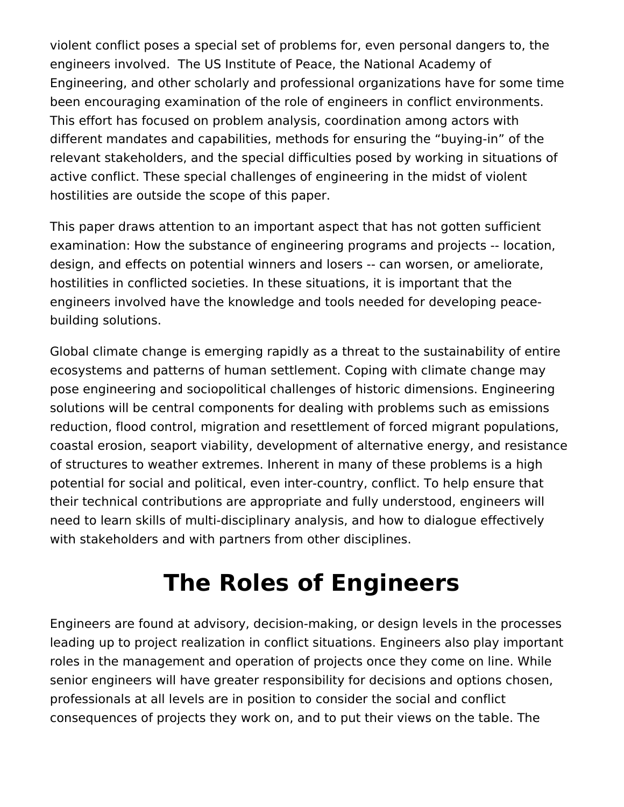violent conflict poses a special set of problems for, even personal dangers to, the engineers involved. The US Institute of Peace, the National Academy of Engineering, and other scholarly and professional organizations have for some time been encouraging examination of the role of engineers in conflict environments. This effort has focused on problem analysis, coordination among actors with different mandates and capabilities, methods for ensuring the "buying-in" of the relevant stakeholders, and the special difficulties posed by working in situations of active conflict. These special challenges of engineering in the midst of violent hostilities are outside the scope of this paper.

This paper draws attention to an important aspect that has not gotten sufficient examination: How the substance of engineering programs and projects -- location, design, and effects on potential winners and losers -- can worsen, or ameliorate, hostilities in conflicted societies. In these situations, it is important that the engineers involved have the knowledge and tools needed for developing peacebuilding solutions.

Global climate change is emerging rapidly as a threat to the sustainability of entire ecosystems and patterns of human settlement. Coping with climate change may pose engineering and sociopolitical challenges of historic dimensions. Engineering solutions will be central components for dealing with problems such as emissions reduction, flood control, migration and resettlement of forced migrant populations, coastal erosion, seaport viability, development of alternative energy, and resistance of structures to weather extremes. Inherent in many of these problems is a high potential for social and political, even inter-country, conflict. To help ensure that their technical contributions are appropriate and fully understood, engineers will need to learn skills of multi-disciplinary analysis, and how to dialogue effectively with stakeholders and with partners from other disciplines.

# **The Roles of Engineers**

Engineers are found at advisory, decision-making, or design levels in the processes leading up to project realization in conflict situations. Engineers also play important roles in the management and operation of projects once they come on line. While senior engineers will have greater responsibility for decisions and options chosen, professionals at all levels are in position to consider the social and conflict consequences of projects they work on, and to put their views on the table. The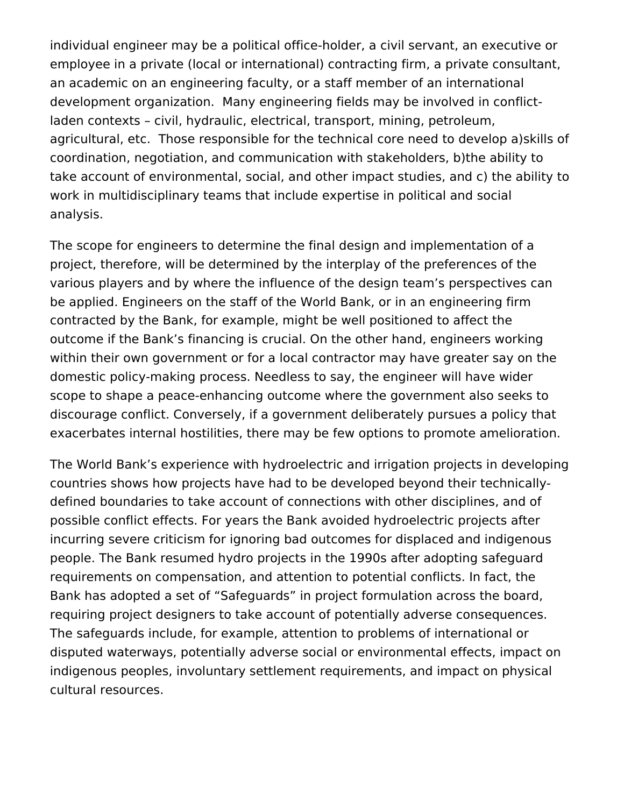individual engineer may be a political office-holder, a civil servant, an executive or employee in a private (local or international) contracting firm, a private consultant, an academic on an engineering faculty, or a staff member of an international development organization. Many engineering fields may be involved in conflictladen contexts – civil, hydraulic, electrical, transport, mining, petroleum, agricultural, etc. Those responsible for the technical core need to develop a)skills of coordination, negotiation, and communication with stakeholders, b)the ability to take account of environmental, social, and other impact studies, and c) the ability to work in multidisciplinary teams that include expertise in political and social analysis.

The scope for engineers to determine the final design and implementation of a project, therefore, will be determined by the interplay of the preferences of the various players and by where the influence of the design team's perspectives can be applied. Engineers on the staff of the World Bank, or in an engineering firm contracted by the Bank, for example, might be well positioned to affect the outcome if the Bank's financing is crucial. On the other hand, engineers working within their own government or for a local contractor may have greater say on the domestic policy-making process. Needless to say, the engineer will have wider scope to shape a peace-enhancing outcome where the government also seeks to discourage conflict. Conversely, if a government deliberately pursues a policy that exacerbates internal hostilities, there may be few options to promote amelioration.

The World Bank's experience with hydroelectric and irrigation projects in developing countries shows how projects have had to be developed beyond their technicallydefined boundaries to take account of connections with other disciplines, and of possible conflict effects. For years the Bank avoided hydroelectric projects after incurring severe criticism for ignoring bad outcomes for displaced and indigenous people. The Bank resumed hydro projects in the 1990s after adopting safeguard requirements on compensation, and attention to potential conflicts. In fact, the Bank has adopted a set of "Safeguards" in project formulation across the board, requiring project designers to take account of potentially adverse consequences. The safeguards include, for example, attention to problems of international or disputed waterways, potentially adverse social or environmental effects, impact on indigenous peoples, involuntary settlement requirements, and impact on physical cultural resources.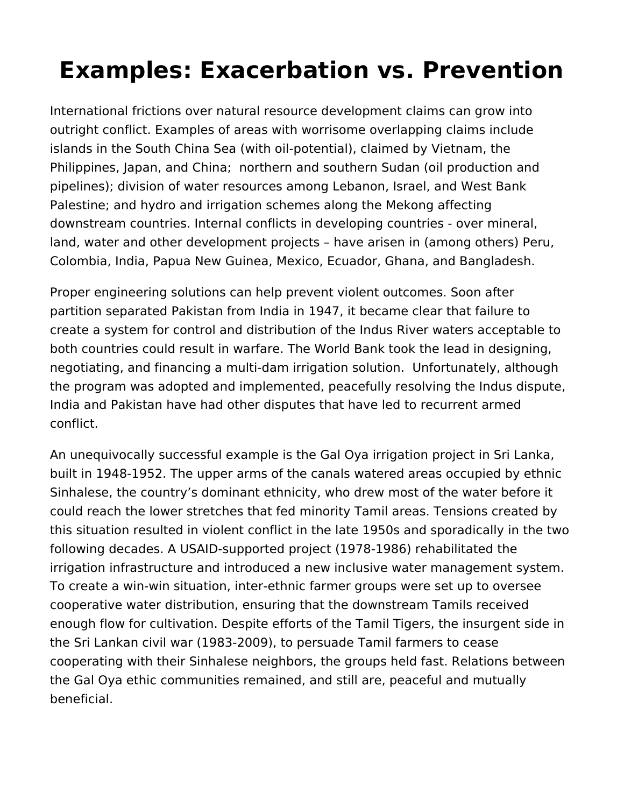# **Examples: Exacerbation vs. Prevention**

International frictions over natural resource development claims can grow into outright conflict. Examples of areas with worrisome overlapping claims include islands in the South China Sea (with oil-potential), claimed by Vietnam, the Philippines, Japan, and China; northern and southern Sudan (oil production and pipelines); division of water resources among Lebanon, Israel, and West Bank Palestine; and hydro and irrigation schemes along the Mekong affecting downstream countries. Internal conflicts in developing countries - over mineral, land, water and other development projects – have arisen in (among others) Peru, Colombia, India, Papua New Guinea, Mexico, Ecuador, Ghana, and Bangladesh.

Proper engineering solutions can help prevent violent outcomes. Soon after partition separated Pakistan from India in 1947, it became clear that failure to create a system for control and distribution of the Indus River waters acceptable to both countries could result in warfare. The World Bank took the lead in designing, negotiating, and financing a multi-dam irrigation solution. Unfortunately, although the program was adopted and implemented, peacefully resolving the Indus dispute, India and Pakistan have had other disputes that have led to recurrent armed conflict.

An unequivocally successful example is the Gal Oya irrigation project in Sri Lanka, built in 1948-1952. The upper arms of the canals watered areas occupied by ethnic Sinhalese, the country's dominant ethnicity, who drew most of the water before it could reach the lower stretches that fed minority Tamil areas. Tensions created by this situation resulted in violent conflict in the late 1950s and sporadically in the two following decades. A USAID-supported project (1978-1986) rehabilitated the irrigation infrastructure and introduced a new inclusive water management system. To create a win-win situation, inter-ethnic farmer groups were set up to oversee cooperative water distribution, ensuring that the downstream Tamils received enough flow for cultivation. Despite efforts of the Tamil Tigers, the insurgent side in the Sri Lankan civil war (1983-2009), to persuade Tamil farmers to cease cooperating with their Sinhalese neighbors, the groups held fast. Relations between the Gal Oya ethic communities remained, and still are, peaceful and mutually beneficial.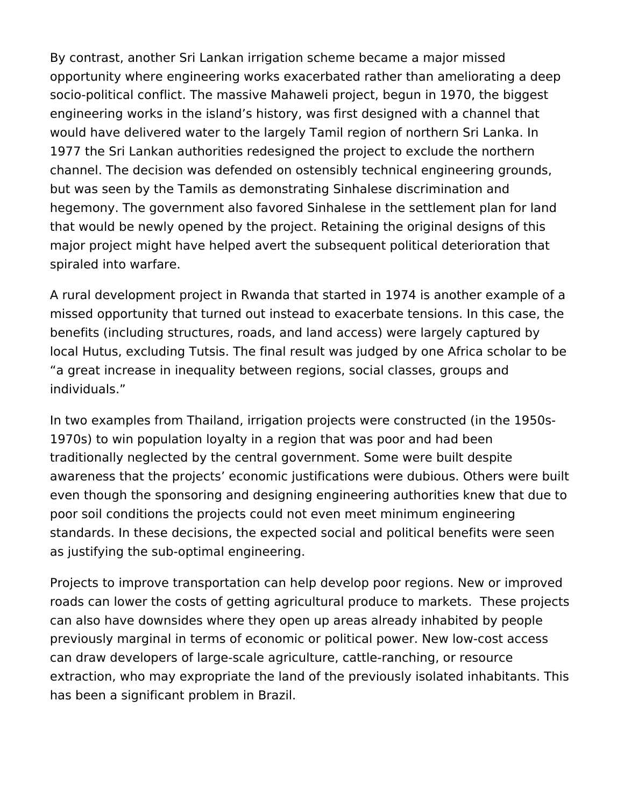By contrast, another Sri Lankan irrigation scheme became a major missed opportunity where engineering works exacerbated rather than ameliorating a deep socio-political conflict. The massive Mahaweli project, begun in 1970, the biggest engineering works in the island's history, was first designed with a channel that would have delivered water to the largely Tamil region of northern Sri Lanka. In 1977 the Sri Lankan authorities redesigned the project to exclude the northern channel. The decision was defended on ostensibly technical engineering grounds, but was seen by the Tamils as demonstrating Sinhalese discrimination and hegemony. The government also favored Sinhalese in the settlement plan for land that would be newly opened by the project. Retaining the original designs of this major project might have helped avert the subsequent political deterioration that spiraled into warfare.

A rural development project in Rwanda that started in 1974 is another example of a missed opportunity that turned out instead to exacerbate tensions. In this case, the benefits (including structures, roads, and land access) were largely captured by local Hutus, excluding Tutsis. The final result was judged by one Africa scholar to be "a great increase in inequality between regions, social classes, groups and individuals."

In two examples from Thailand, irrigation projects were constructed (in the 1950s-1970s) to win population loyalty in a region that was poor and had been traditionally neglected by the central government. Some were built despite awareness that the projects' economic justifications were dubious. Others were built even though the sponsoring and designing engineering authorities knew that due to poor soil conditions the projects could not even meet minimum engineering standards. In these decisions, the expected social and political benefits were seen as justifying the sub-optimal engineering.

Projects to improve transportation can help develop poor regions. New or improved roads can lower the costs of getting agricultural produce to markets. These projects can also have downsides where they open up areas already inhabited by people previously marginal in terms of economic or political power. New low-cost access can draw developers of large-scale agriculture, cattle-ranching, or resource extraction, who may expropriate the land of the previously isolated inhabitants. This has been a significant problem in Brazil.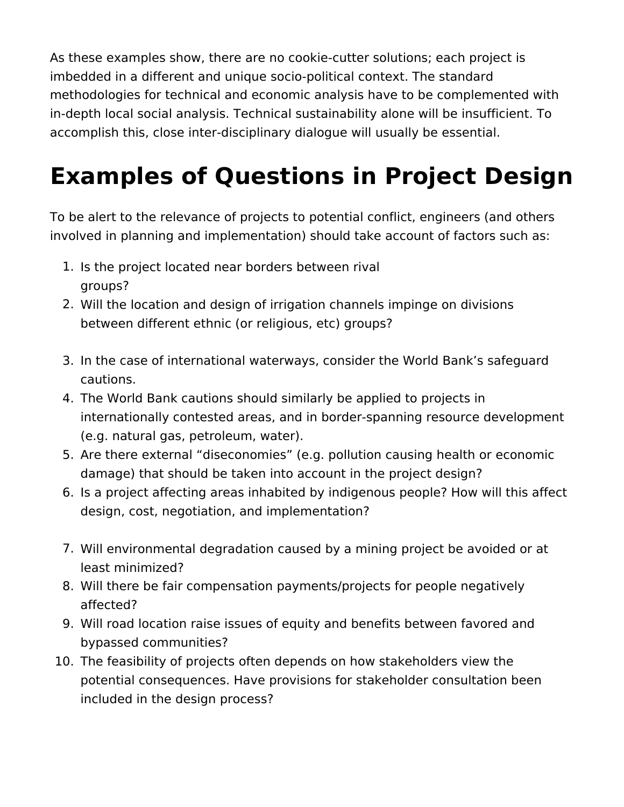As these examples show, there are no cookie-cutter solutions; each project is imbedded in a different and unique socio-political context. The standard methodologies for technical and economic analysis have to be complemented with in-depth local social analysis. Technical sustainability alone will be insufficient. To accomplish this, close inter-disciplinary dialogue will usually be essential.

# **Examples of Questions in Project Design**

To be alert to the relevance of projects to potential conflict, engineers (and others involved in planning and implementation) should take account of factors such as:

- 1. Is the project located near borders between rival groups?
- 2. Will the location and design of irrigation channels impinge on divisions between different ethnic (or religious, etc) groups?
- 3. In the case of international waterways, consider the World Bank's safeguard cautions.
- 4. The World Bank cautions should similarly be applied to projects in internationally contested areas, and in border-spanning resource development (e.g. natural gas, petroleum, water).
- 5. Are there external "diseconomies" (e.g. pollution causing health or economic damage) that should be taken into account in the project design?
- 6. Is a project affecting areas inhabited by indigenous people? How will this affect design, cost, negotiation, and implementation?
- 7. Will environmental degradation caused by a mining project be avoided or at least minimized?
- 8. Will there be fair compensation payments/projects for people negatively affected?
- 9. Will road location raise issues of equity and benefits between favored and bypassed communities?
- 10. The feasibility of projects often depends on how stakeholders view the potential consequences. Have provisions for stakeholder consultation been included in the design process?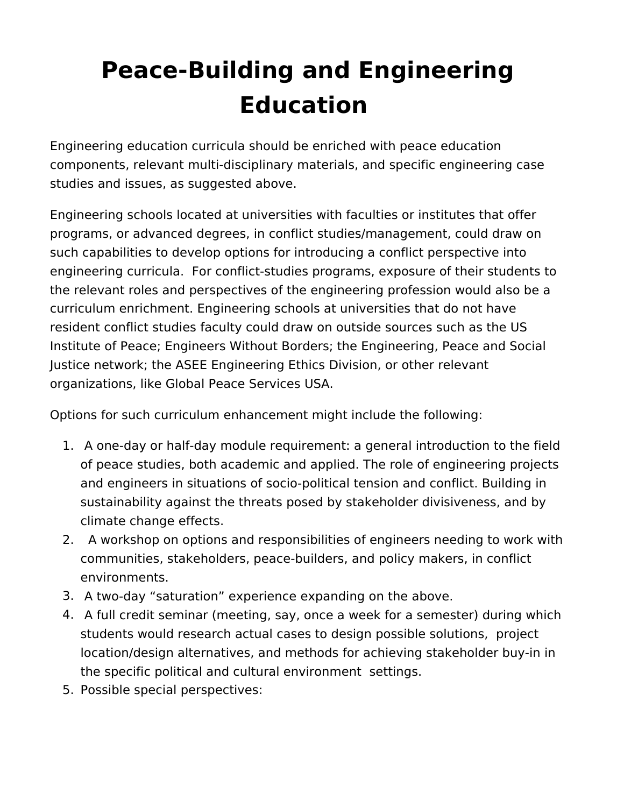# **Peace-Building and Engineering Education**

Engineering education curricula should be enriched with peace education components, relevant multi-disciplinary materials, and specific engineering case studies and issues, as suggested above.

Engineering schools located at universities with faculties or institutes that offer programs, or advanced degrees, in conflict studies/management, could draw on such capabilities to develop options for introducing a conflict perspective into engineering curricula. For conflict-studies programs, exposure of their students to the relevant roles and perspectives of the engineering profession would also be a curriculum enrichment. Engineering schools at universities that do not have resident conflict studies faculty could draw on outside sources such as the US Institute of Peace; Engineers Without Borders; the Engineering, Peace and Social Justice network; the ASEE Engineering Ethics Division, or other relevant organizations, like Global Peace Services USA.

Options for such curriculum enhancement might include the following:

- 1. A one-day or half-day module requirement: a general introduction to the field of peace studies, both academic and applied. The role of engineering projects and engineers in situations of socio-political tension and conflict. Building in sustainability against the threats posed by stakeholder divisiveness, and by climate change effects.
- 2. A workshop on options and responsibilities of engineers needing to work with communities, stakeholders, peace-builders, and policy makers, in conflict environments.
- 3. A two-day "saturation" experience expanding on the above.
- 4. A full credit seminar (meeting, say, once a week for a semester) during which students would research actual cases to design possible solutions, project location/design alternatives, and methods for achieving stakeholder buy-in in the specific political and cultural environment settings.
- 5. Possible special perspectives: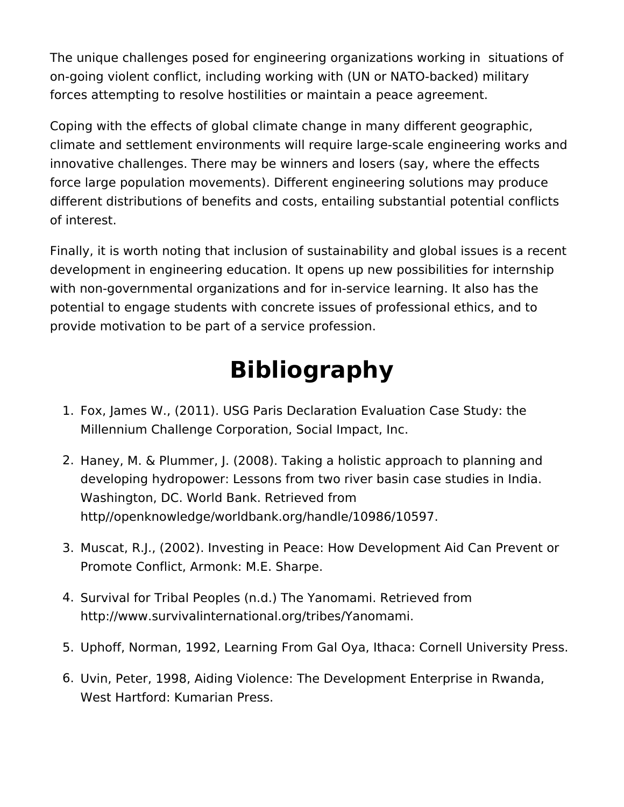The unique challenges posed for engineering organizations working in situations of on-going violent conflict, including working with (UN or NATO-backed) military forces attempting to resolve hostilities or maintain a peace agreement.

Coping with the effects of global climate change in many different geographic, climate and settlement environments will require large-scale engineering works and innovative challenges. There may be winners and losers (say, where the effects force large population movements). Different engineering solutions may produce different distributions of benefits and costs, entailing substantial potential conflicts of interest.

Finally, it is worth noting that inclusion of sustainability and global issues is a recent development in engineering education. It opens up new possibilities for internship with non-governmental organizations and for in-service learning. It also has the potential to engage students with concrete issues of professional ethics, and to provide motivation to be part of a service profession.

# **Bibliography**

- 1. Fox, James W., (2011). USG Paris Declaration Evaluation Case Study: the Millennium Challenge Corporation, Social Impact, Inc.
- 2. Haney, M. & Plummer, J. (2008). Taking a holistic approach to planning and developing hydropower: Lessons from two river basin case studies in India. Washington, DC. World Bank. Retrieved from http//openknowledge/worldbank.org/handle/10986/10597.
- 3. Muscat, R.J., (2002). Investing in Peace: How Development Aid Can Prevent or Promote Conflict, Armonk: M.E. Sharpe.
- 4. Survival for Tribal Peoples (n.d.) The Yanomami. Retrieved from http://www.survivalinternational.org/tribes/Yanomami.
- 5. Uphoff, Norman, 1992, Learning From Gal Oya, Ithaca: Cornell University Press.
- 6. Uvin, Peter, 1998, Aiding Violence: The Development Enterprise in Rwanda, West Hartford: Kumarian Press.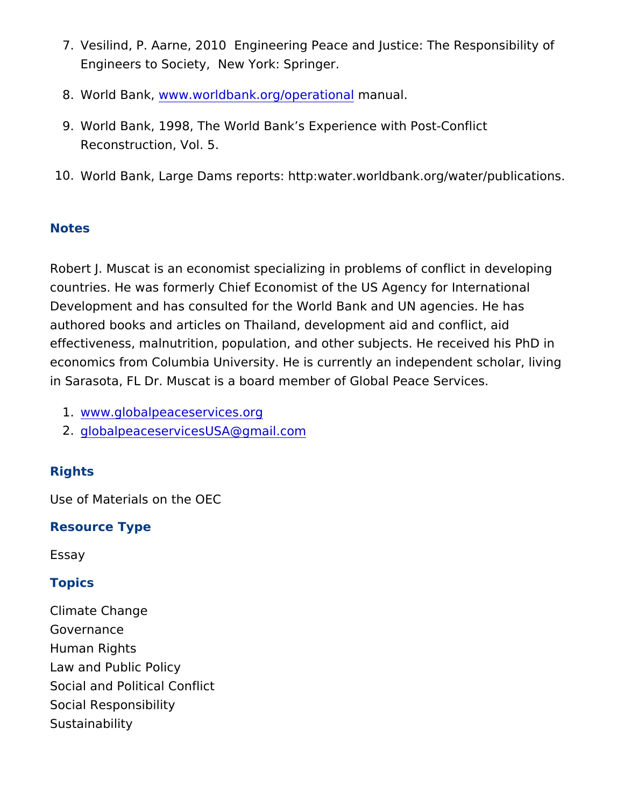- 7. Vesilind, P. Aarne, 2010 Engineering Peace and Justice: The Engineers to Society, New York: Springer.
- 8. World Banwkw, w.worldbank.org/opermational
- 9. World Bank, 1998, The World Bank s Experience with Post-Cor Reconstruction, Vol. 5.
- 10.World Bank, Large Dams reports: http:water.worldbank.org/wat

#### Notes

Robert J. Muscat is an economist specializing in problems of conf countries. He was formerly Chief Economist of the US Agency for Development and has consulted for the World Bank and UN agenci authored books and articles on Thailand, development aid and con effectiveness, malnutrition, population, and other subjects. He re economics from Columbia University. He is currently an independent in Sarasota, FL Dr. Muscat is a board member of Global Peace Se

1.[www.globalpeaceserv](http://www.globalpeaceservices.org)ices.org

2.[globalpeaceservicesUSA@](mailto:globalpeaceservicesUSA@gmail.com)gmail.com

### Rights

Use of Materials on the OEC

Resource Type

Essay

### Topics

Climate Change Governance Human Rights Law and Public Policy Social and Political Conflict Social Responsibility Sustainability